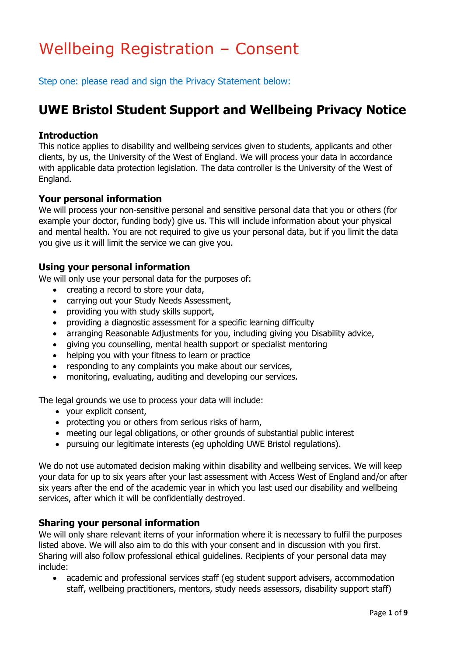# Wellbeing Registration – Consent

Step one: please read and sign the Privacy Statement below:

### **UWE Bristol Student Support and Wellbeing Privacy Notice**

#### **Introduction**

This notice applies to disability and wellbeing services given to students, applicants and other clients, by us, the University of the West of England. We will process your data in accordance with applicable data protection legislation. The data controller is the University of the West of England.

### **Your personal information**

We will process your non-sensitive personal and sensitive personal data that you or others (for example your doctor, funding body) give us. This will include information about your physical and mental health. You are not required to give us your personal data, but if you limit the data you give us it will limit the service we can give you.

### **Using your personal information**

We will only use your personal data for the purposes of:

- creating a record to store your data,
- carrying out your Study Needs Assessment,
- providing you with study skills support,
- providing a diagnostic assessment for a specific learning difficulty
- arranging Reasonable Adjustments for you, including giving you Disability advice,
- giving you counselling, mental health support or specialist mentoring
- helping you with your fitness to learn or practice
- responding to any complaints you make about our services,
- monitoring, evaluating, auditing and developing our services.

The legal grounds we use to process your data will include:

- your explicit consent,
- protecting you or others from serious risks of harm,
- meeting our legal obligations, or other grounds of substantial public interest
- pursuing our legitimate interests (eg upholding UWE Bristol regulations).

We do not use automated decision making within disability and wellbeing services. We will keep your data for up to six years after your last assessment with Access West of England and/or after six years after the end of the academic year in which you last used our disability and wellbeing services, after which it will be confidentially destroyed.

#### **Sharing your personal information**

We will only share relevant items of your information where it is necessary to fulfil the purposes listed above. We will also aim to do this with your consent and in discussion with you first. Sharing will also follow professional ethical guidelines. Recipients of your personal data may include:

 academic and professional services staff (eg student support advisers, accommodation staff, wellbeing practitioners, mentors, study needs assessors, disability support staff)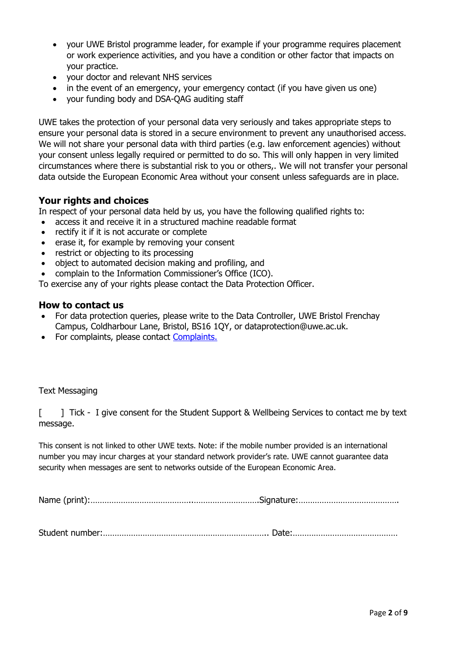- your UWE Bristol programme leader, for example if your programme requires placement or work experience activities, and you have a condition or other factor that impacts on your practice.
- your doctor and relevant NHS services
- in the event of an emergency, your emergency contact (if you have given us one)
- your funding body and DSA-QAG auditing staff

UWE takes the protection of your personal data very seriously and takes appropriate steps to ensure your personal data is stored in a secure environment to prevent any unauthorised access. We will not share your personal data with third parties (e.g. law enforcement agencies) without your consent unless legally required or permitted to do so. This will only happen in very limited circumstances where there is substantial risk to you or others,. We will not transfer your personal data outside the European Economic Area without your consent unless safeguards are in place.

### **Your rights and choices**

In respect of your personal data held by us, you have the following qualified rights to:

- access it and receive it in a structured machine readable format
- rectify it if it is not accurate or complete
- erase it, for example by removing your consent
- restrict or objecting to its processing
- object to automated decision making and profiling, and
- complain to the Information Commissioner's Office (ICO).

To exercise any of your rights please contact the Data Protection Officer.

#### **How to contact us**

- For data protection queries, please write to the Data Controller, UWE Bristol Frenchay Campus, Coldharbour Lane, Bristol, BS16 1QY, or dataprotection@uwe.ac.uk.
- For complaints, please contact [Complaints.](http://www1.uwe.ac.uk/about/contactus/complaints.aspx)

#### Text Messaging

[  $\Box$  ] Tick - I give consent for the Student Support & Wellbeing Services to contact me by text message.

This consent is not linked to other UWE texts. Note: if the mobile number provided is an international number you may incur charges at your standard network provider's rate. UWE cannot guarantee data security when messages are sent to networks outside of the European Economic Area.

Name (print):……………………………………..……………………….Signature:…………………………………….

Student number:…………………………………………………………….. Date:………………………………………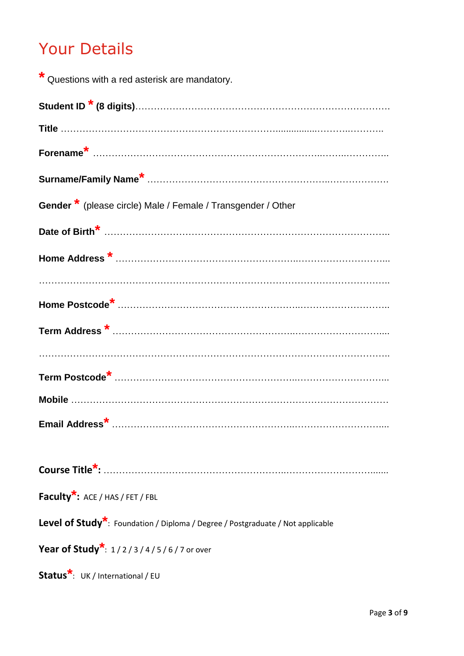# Your Details

| * Questions with a red asterisk are mandatory.                                              |
|---------------------------------------------------------------------------------------------|
|                                                                                             |
|                                                                                             |
|                                                                                             |
|                                                                                             |
| <b>Gender *</b> (please circle) Male / Female / Transgender / Other                         |
|                                                                                             |
|                                                                                             |
|                                                                                             |
|                                                                                             |
|                                                                                             |
|                                                                                             |
|                                                                                             |
|                                                                                             |
|                                                                                             |
|                                                                                             |
| <b>Faculty<sup>*</sup>:</b> ACE / HAS / FET / FBL                                           |
| Level of Study <sup>*</sup> : Foundation / Diploma / Degree / Postgraduate / Not applicable |
| <b>Year of Study</b> <sup>*</sup> : $1/2/3/4/5/6/7$ or over                                 |
| Status <sup>*</sup> : UK / International / EU                                               |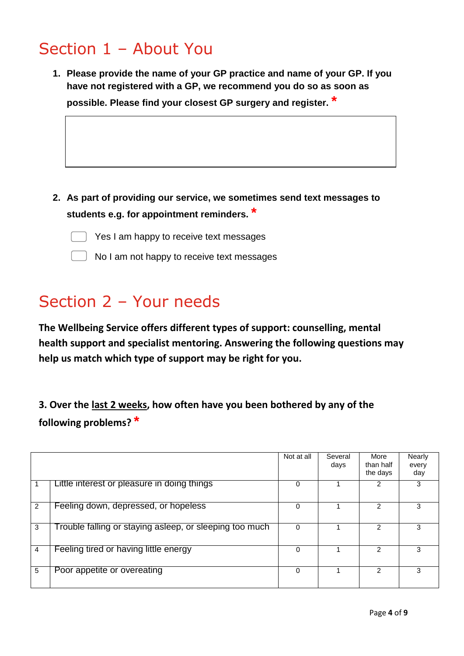# Section 1 – About You

**1. Please provide the name of your GP practice and name of your GP. If you have not registered with a GP, we recommend you do so as soon as possible. Please [find your closest GP surgery](https://www.bristolccg.nhs.uk/your-health-local-services/health-services/find-local-service/find-doctor/) and register. \***

**2. As part of providing our service, we sometimes send text messages to students e.g. for appointment reminders. \***



- Yes I am happy to receive text messages
- No I am not happy to receive text messages

## Section 2 – Your needs

**The Wellbeing Service offers different types of support: counselling, mental health support and specialist mentoring. Answering the following questions may help us match which type of support may be right for you.** 

**3. Over the last 2 weeks, how often have you been bothered by any of the following problems? \***

|    |                                                         | Not at all | Several<br>days | More<br>than half<br>the days | Nearly<br>every<br>day |
|----|---------------------------------------------------------|------------|-----------------|-------------------------------|------------------------|
|    | Little interest or pleasure in doing things             | 0          |                 | 2                             | 3                      |
| 2  | Feeling down, depressed, or hopeless                    | 0          |                 | $\mathfrak{p}$                | 3                      |
| 3  | Trouble falling or staying asleep, or sleeping too much | 0          |                 | $\mathfrak{p}$                | 3                      |
| -4 | Feeling tired or having little energy                   | 0          |                 | 2                             |                        |
| 5  | Poor appetite or overeating                             | 0          |                 | $\mathcal{P}$                 | 3                      |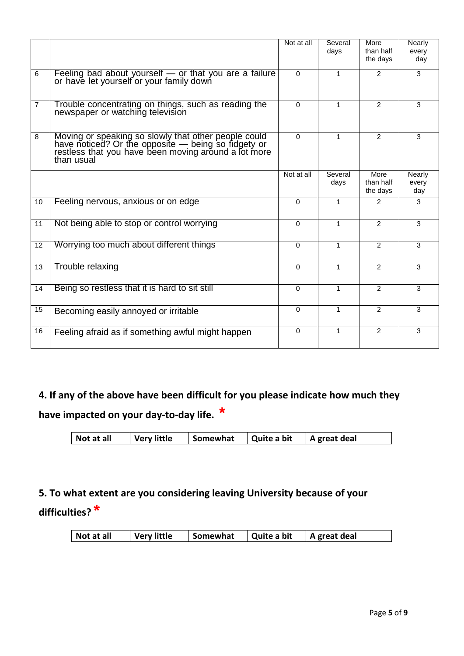|                 |                                                                                                                                                                                   | Not at all | Several<br>days | More<br>than half<br>the days | <b>Nearly</b><br>every<br>day |
|-----------------|-----------------------------------------------------------------------------------------------------------------------------------------------------------------------------------|------------|-----------------|-------------------------------|-------------------------------|
| 6               | Feeling bad about yourself - or that you are a failure<br>or have let yourself or your family down                                                                                | $\Omega$   | 1               | $\mathcal{P}$                 | 3                             |
| $\overline{7}$  | Trouble concentrating on things, such as reading the<br>newspaper or watching television                                                                                          | $\Omega$   | 1               | $\overline{2}$                | 3                             |
| 8               | Moving or speaking so slowly that other people could<br>have noticed? Or the opposite — being so fidgety or<br>restless that you have been moving around a lot more<br>than usual | $\Omega$   | 1               | $\overline{2}$                | 3                             |
|                 |                                                                                                                                                                                   | Not at all | Several<br>days | More<br>than half<br>the days | Nearly<br>every<br>day        |
| 10 <sup>°</sup> | Feeling nervous, anxious or on edge                                                                                                                                               | $\Omega$   | 1               | $\mathcal{P}$                 | 3                             |
| 11              | Not being able to stop or control worrying                                                                                                                                        | $\Omega$   | 1               | $\overline{2}$                | 3                             |
| 12              | Worrying too much about different things                                                                                                                                          | $\Omega$   | 1               | $\mathfrak{p}$                | 3                             |
| 13              | Trouble relaxing                                                                                                                                                                  | $\Omega$   | 1               | $\overline{2}$                | 3                             |
| 14              | Being so restless that it is hard to sit still                                                                                                                                    | $\Omega$   | 1               | $\mathfrak{p}$                | 3                             |
| 15              | Becoming easily annoyed or irritable                                                                                                                                              | $\Omega$   | 1               | $\mathcal{P}$                 | 3                             |
| 16              | Feeling afraid as if something awful might happen                                                                                                                                 | $\Omega$   | 1               | $\overline{2}$                | 3                             |

## **4. If any of the above have been difficult for you please indicate how much they have impacted on your day-to-day life. \***

| $\vert$ Somewhat $\vert$ Quite a bit $\vert$ A great deal |  | Not at all | Very little |  |  |  |
|-----------------------------------------------------------|--|------------|-------------|--|--|--|
|-----------------------------------------------------------|--|------------|-------------|--|--|--|

## **5. To what extent are you considering leaving University because of your difficulties? \***

|  | Not at all | <b>Very little</b> | Somewhat   Quite a bit |  | A great deal |
|--|------------|--------------------|------------------------|--|--------------|
|--|------------|--------------------|------------------------|--|--------------|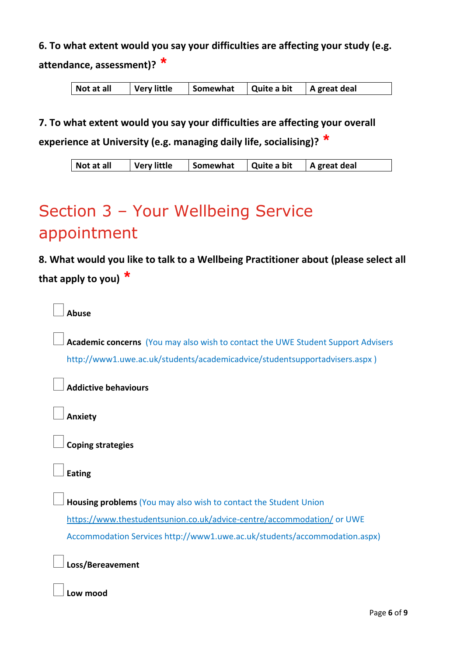**6. To what extent would you say your difficulties are affecting your study (e.g. attendance, assessment)? \***

**7. To what extent would you say your difficulties are affecting your overall** 

**experience at University (e.g. managing daily life, socialising)? \***

| Not at all | <b>Very little</b> | Somewhat | Quite a bit | A great deal |
|------------|--------------------|----------|-------------|--------------|
|------------|--------------------|----------|-------------|--------------|

# Section 3 – Your Wellbeing Service appointment

**8. What would you like to talk to a Wellbeing Practitioner about (please select all that apply to you) \***

**Abuse**

 **Academic concerns** (You may also wish to contact the UWE Student Support Advisers http://www1.uwe.ac.uk/students/academicadvice/studentsupportadvisers.aspx )

**Addictive behaviours**

**Anxiety**

**Coping strategies**

**Eating** 

 **Housing problems** (You may also wish to contact the Student Union <https://www.thestudentsunion.co.uk/advice-centre/accommodation/> or UWE Accommodation Services http://www1.uwe.ac.uk/students/accommodation.aspx)

**Loss/Bereavement**

**Low mood**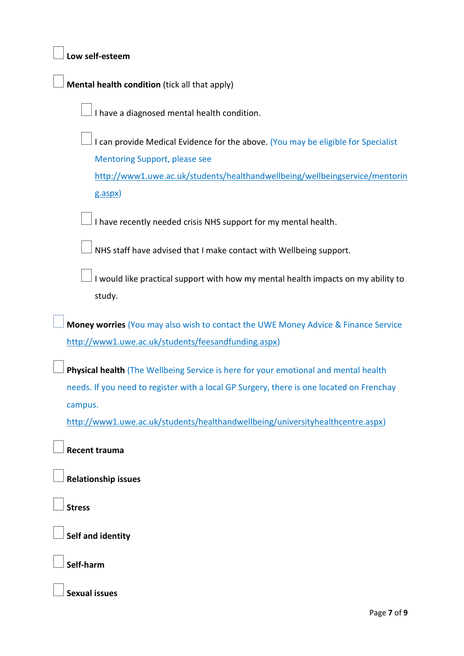| Low self-esteem                                                                                                                                                                                          |
|----------------------------------------------------------------------------------------------------------------------------------------------------------------------------------------------------------|
| Mental health condition (tick all that apply)                                                                                                                                                            |
| I have a diagnosed mental health condition.                                                                                                                                                              |
| I can provide Medical Evidence for the above. (You may be eligible for Specialist<br><b>Mentoring Support, please see</b><br>http://www1.uwe.ac.uk/students/healthandwellbeing/wellbeingservice/mentorin |
| g.aspx)                                                                                                                                                                                                  |
| I have recently needed crisis NHS support for my mental health.                                                                                                                                          |
| NHS staff have advised that I make contact with Wellbeing support.                                                                                                                                       |
| I would like practical support with how my mental health impacts on my ability to<br>study.                                                                                                              |
| Money worries (You may also wish to contact the UWE Money Advice & Finance Service                                                                                                                       |
| http://www1.uwe.ac.uk/students/feesandfunding.aspx)                                                                                                                                                      |
| Physical health (The Wellbeing Service is here for your emotional and mental health                                                                                                                      |
| needs. If you need to register with a local GP Surgery, there is one located on Frenchay                                                                                                                 |
| campus.<br>http://www1.uwe.ac.uk/students/healthandwellbeing/universityhealthcentre.aspx)                                                                                                                |
| <b>Recent trauma</b>                                                                                                                                                                                     |
| <b>Relationship issues</b>                                                                                                                                                                               |
| <b>Stress</b>                                                                                                                                                                                            |
| Self and identity                                                                                                                                                                                        |
| Self-harm                                                                                                                                                                                                |
| <b>Sexual issues</b>                                                                                                                                                                                     |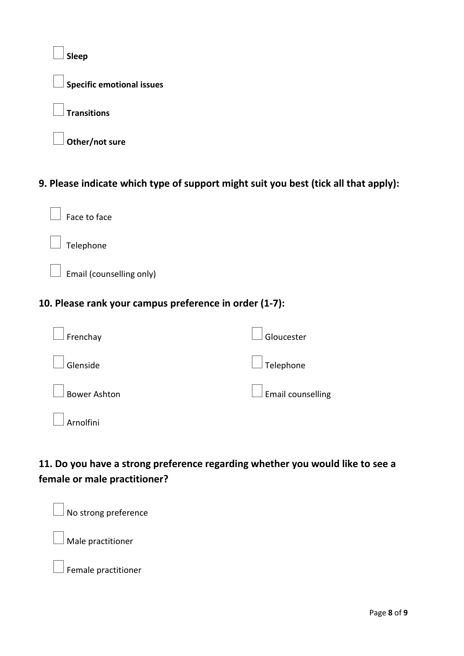**Sleep Specific emotional issues Transitions Other/not sure** 

### **9. Please indicate which type of support might suit you best (tick all that apply):**



Telephone

 $\perp$  Email (counselling only)

### **10. Please rank your campus preference in order (1-7):**

| $\Box$ Frenchay     | $\vert$ Gloucester       |
|---------------------|--------------------------|
| $\Box$ Glenside     | $\Box$ Telephone         |
| $\Box$ Bower Ashton | $\Box$ Email counselling |
| $\Box$ Arnolfini    |                          |

### **11. Do you have a strong preference regarding whether you would like to see a female or male practitioner?**